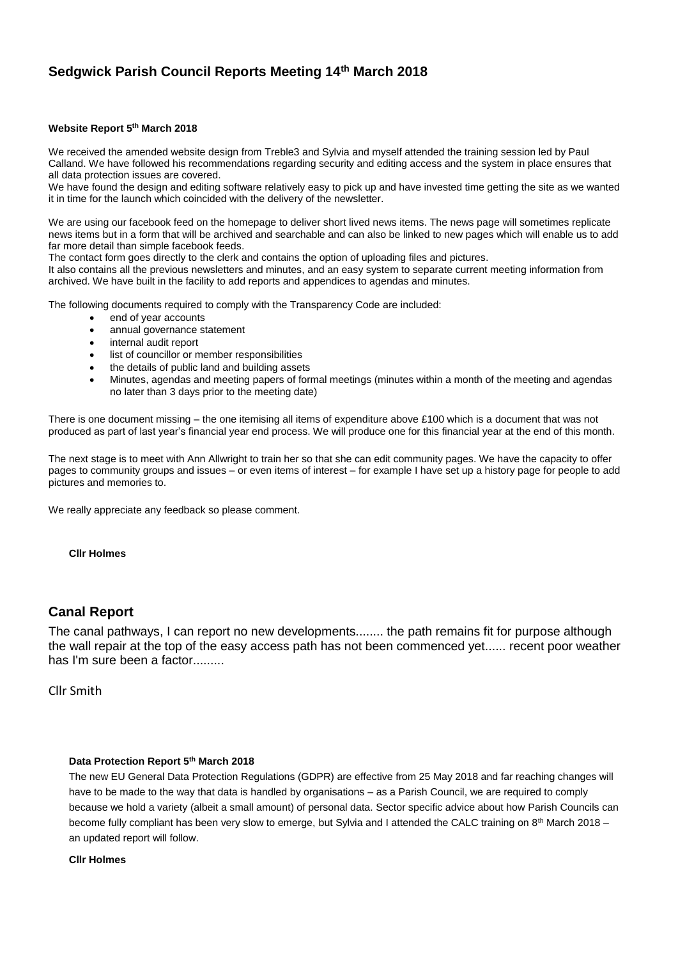## **Sedgwick Parish Council Reports Meeting 14th March 2018**

#### **Website Report 5 th March 2018**

We received the amended website design from Treble3 and Sylvia and myself attended the training session led by Paul Calland. We have followed his recommendations regarding security and editing access and the system in place ensures that all data protection issues are covered.

We have found the design and editing software relatively easy to pick up and have invested time getting the site as we wanted it in time for the launch which coincided with the delivery of the newsletter.

We are using our facebook feed on the homepage to deliver short lived news items. The news page will sometimes replicate news items but in a form that will be archived and searchable and can also be linked to new pages which will enable us to add far more detail than simple facebook feeds.

The contact form goes directly to the clerk and contains the option of uploading files and pictures.

It also contains all the previous newsletters and minutes, and an easy system to separate current meeting information from archived. We have built in the facility to add reports and appendices to agendas and minutes.

The following documents required to comply with the Transparency Code are included:

- end of year accounts
- annual governance statement
- internal audit report
- list of councillor or member responsibilities
- the details of public land and building assets
- Minutes, agendas and meeting papers of formal meetings (minutes within a month of the meeting and agendas no later than 3 days prior to the meeting date)

There is one document missing – the one itemising all items of expenditure above £100 which is a document that was not produced as part of last year's financial year end process. We will produce one for this financial year at the end of this month.

The next stage is to meet with Ann Allwright to train her so that she can edit community pages. We have the capacity to offer pages to community groups and issues – or even items of interest – for example I have set up a history page for people to add pictures and memories to.

We really appreciate any feedback so please comment.

#### **Cllr Holmes**

#### **Canal Report**

The canal pathways, I can report no new developments........ the path remains fit for purpose although the wall repair at the top of the easy access path has not been commenced yet...... recent poor weather has I'm sure been a factor.........

Cllr Smith

#### **Data Protection Report 5 th March 2018**

The new EU General Data Protection Regulations (GDPR) are effective from 25 May 2018 and far reaching changes will have to be made to the way that data is handled by organisations – as a Parish Council, we are required to comply because we hold a variety (albeit a small amount) of personal data. Sector specific advice about how Parish Councils can become fully compliant has been very slow to emerge, but Sylvia and I attended the CALC training on 8<sup>th</sup> March 2018 – an updated report will follow.

**Cllr Holmes**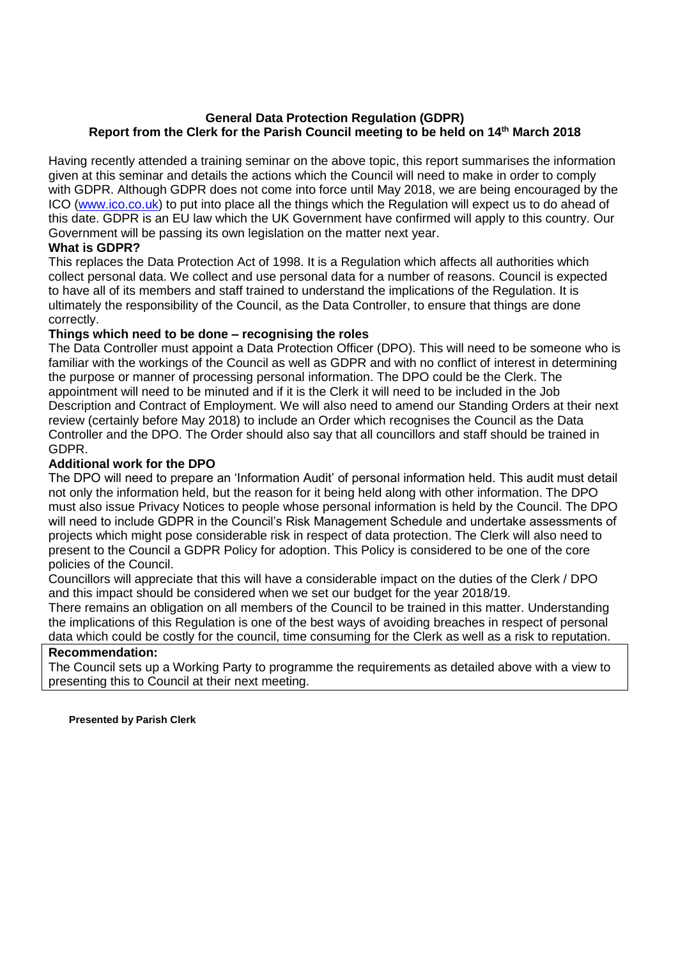#### **General Data Protection Regulation (GDPR) Report from the Clerk for the Parish Council meeting to be held on 14th March 2018**

Having recently attended a training seminar on the above topic, this report summarises the information given at this seminar and details the actions which the Council will need to make in order to comply with GDPR. Although GDPR does not come into force until May 2018, we are being encouraged by the ICO [\(www.ico.co.uk\)](http://www.ico.co.uk/) to put into place all the things which the Regulation will expect us to do ahead of this date. GDPR is an EU law which the UK Government have confirmed will apply to this country. Our Government will be passing its own legislation on the matter next year.

#### **What is GDPR?**

This replaces the Data Protection Act of 1998. It is a Regulation which affects all authorities which collect personal data. We collect and use personal data for a number of reasons. Council is expected to have all of its members and staff trained to understand the implications of the Regulation. It is ultimately the responsibility of the Council, as the Data Controller, to ensure that things are done correctly.

#### **Things which need to be done – recognising the roles**

The Data Controller must appoint a Data Protection Officer (DPO). This will need to be someone who is familiar with the workings of the Council as well as GDPR and with no conflict of interest in determining the purpose or manner of processing personal information. The DPO could be the Clerk. The appointment will need to be minuted and if it is the Clerk it will need to be included in the Job Description and Contract of Employment. We will also need to amend our Standing Orders at their next review (certainly before May 2018) to include an Order which recognises the Council as the Data Controller and the DPO. The Order should also say that all councillors and staff should be trained in GDPR.

#### **Additional work for the DPO**

The DPO will need to prepare an 'Information Audit' of personal information held. This audit must detail not only the information held, but the reason for it being held along with other information. The DPO must also issue Privacy Notices to people whose personal information is held by the Council. The DPO will need to include GDPR in the Council's Risk Management Schedule and undertake assessments of projects which might pose considerable risk in respect of data protection. The Clerk will also need to present to the Council a GDPR Policy for adoption. This Policy is considered to be one of the core policies of the Council.

Councillors will appreciate that this will have a considerable impact on the duties of the Clerk / DPO and this impact should be considered when we set our budget for the year 2018/19.

There remains an obligation on all members of the Council to be trained in this matter. Understanding the implications of this Regulation is one of the best ways of avoiding breaches in respect of personal data which could be costly for the council, time consuming for the Clerk as well as a risk to reputation.

#### **Recommendation:**

The Council sets up a Working Party to programme the requirements as detailed above with a view to presenting this to Council at their next meeting.

**Presented by Parish Clerk**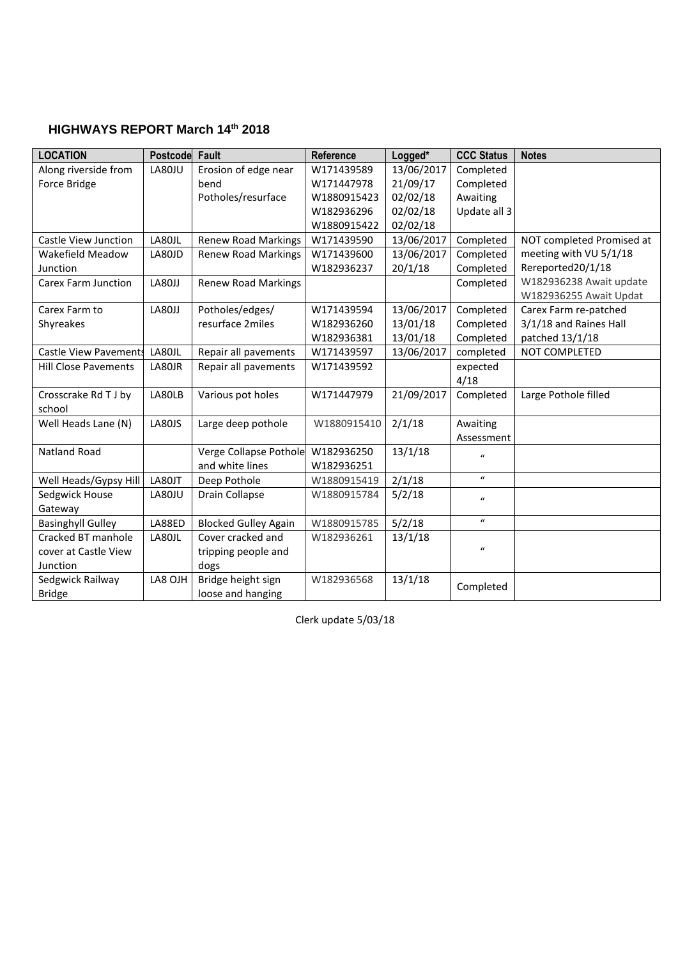#### **HIGHWAYS REPORT March 14th 2018**

| <b>LOCATION</b>              | Postcode      | Fault                       | Reference   | Logged*    | <b>CCC Status</b> | <b>Notes</b>              |
|------------------------------|---------------|-----------------------------|-------------|------------|-------------------|---------------------------|
| Along riverside from         | LA80JU        | Erosion of edge near        | W171439589  | 13/06/2017 | Completed         |                           |
| Force Bridge                 |               | bend                        | W171447978  | 21/09/17   | Completed         |                           |
|                              |               | Potholes/resurface          | W1880915423 | 02/02/18   | Awaiting          |                           |
|                              |               |                             | W182936296  | 02/02/18   | Update all 3      |                           |
|                              |               |                             | W1880915422 | 02/02/18   |                   |                           |
| Castle View Junction         | LA80JL        | <b>Renew Road Markings</b>  | W171439590  | 13/06/2017 | Completed         | NOT completed Promised at |
| Wakefield Meadow             | LA80JD        | <b>Renew Road Markings</b>  | W171439600  | 13/06/2017 | Completed         | meeting with VU 5/1/18    |
| Junction                     |               |                             | W182936237  | 20/1/18    | Completed         | Rereported20/1/18         |
| <b>Carex Farm Junction</b>   | LA80JJ        | <b>Renew Road Markings</b>  |             |            | Completed         | W182936238 Await update   |
|                              |               |                             |             |            |                   | W182936255 Await Updat    |
| Carex Farm to                | LA80JJ        | Potholes/edges/             | W171439594  | 13/06/2017 | Completed         | Carex Farm re-patched     |
| Shyreakes                    |               | resurface 2miles            | W182936260  | 13/01/18   | Completed         | 3/1/18 and Raines Hall    |
|                              |               |                             | W182936381  | 13/01/18   | Completed         | patched 13/1/18           |
| <b>Castle View Pavements</b> | LA80JL        | Repair all pavements        | W171439597  | 13/06/2017 | completed         | NOT COMPLETED             |
| <b>Hill Close Pavements</b>  | LA80JR        | Repair all pavements        | W171439592  |            | expected          |                           |
|                              |               |                             |             |            | 4/18              |                           |
| Crosscrake Rd T J by         | LA80LB        | Various pot holes           | W171447979  | 21/09/2017 | Completed         | Large Pothole filled      |
| school                       |               |                             |             |            |                   |                           |
| Well Heads Lane (N)          | <b>LA80JS</b> | Large deep pothole          | W1880915410 | 2/1/18     | Awaiting          |                           |
|                              |               |                             |             |            | Assessment        |                           |
| Natland Road                 |               | Verge Collapse Pothole      | W182936250  | 13/1/18    | $\mathbf{u}$      |                           |
|                              |               | and white lines             | W182936251  |            |                   |                           |
| Well Heads/Gypsy Hill        | LA80JT        | Deep Pothole                | W1880915419 | 2/1/18     | $\boldsymbol{u}$  |                           |
| Sedgwick House               | LA80JU        | Drain Collapse              | W1880915784 | 5/2/18     | $\boldsymbol{u}$  |                           |
| Gateway                      |               |                             |             |            |                   |                           |
| <b>Basinghyll Gulley</b>     | LA88ED        | <b>Blocked Gulley Again</b> | W1880915785 | 5/2/18     | $\boldsymbol{u}$  |                           |
| Cracked BT manhole           | LA80JL        | Cover cracked and           | W182936261  | 13/1/18    |                   |                           |
| cover at Castle View         |               | tripping people and         |             |            | $\boldsymbol{u}$  |                           |
| Junction                     |               | dogs                        |             |            |                   |                           |
| Sedgwick Railway             | LA8 OJH       | Bridge height sign          | W182936568  | 13/1/18    |                   |                           |
| <b>Bridge</b>                |               | loose and hanging           |             |            | Completed         |                           |

Clerk update 5/03/18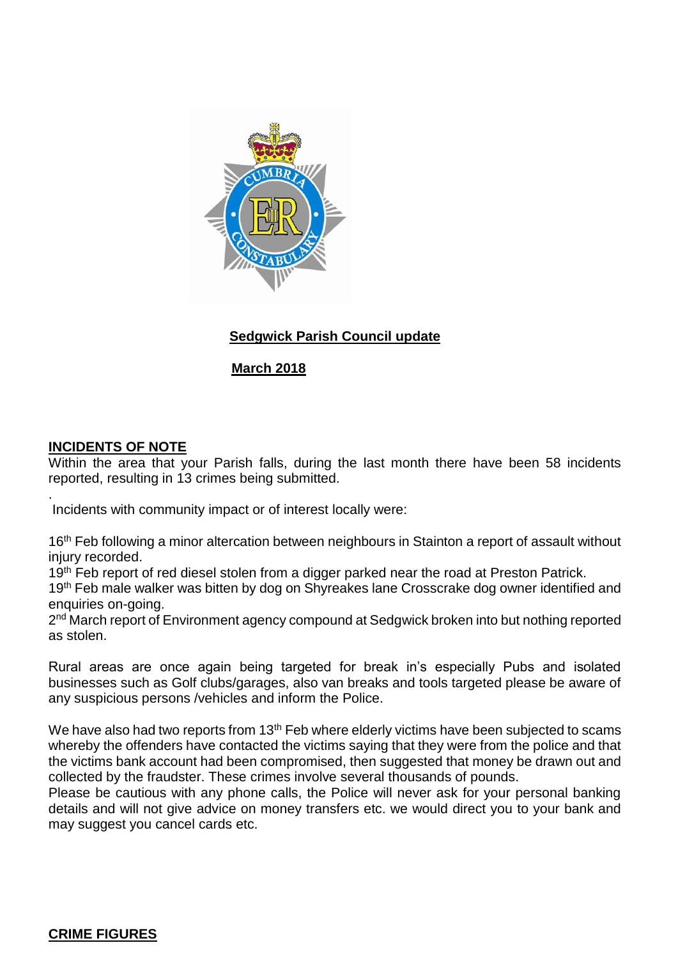

# **Sedgwick Parish Council update**

 **March 2018**

# **INCIDENTS OF NOTE**

Within the area that your Parish falls, during the last month there have been 58 incidents reported, resulting in 13 crimes being submitted.

. Incidents with community impact or of interest locally were:

16<sup>th</sup> Feb following a minor altercation between neighbours in Stainton a report of assault without injury recorded.

19<sup>th</sup> Feb report of red diesel stolen from a digger parked near the road at Preston Patrick.

19<sup>th</sup> Feb male walker was bitten by dog on Shyreakes lane Crosscrake dog owner identified and enquiries on-going.

2<sup>nd</sup> March report of Environment agency compound at Sedgwick broken into but nothing reported as stolen.

Rural areas are once again being targeted for break in's especially Pubs and isolated businesses such as Golf clubs/garages, also van breaks and tools targeted please be aware of any suspicious persons /vehicles and inform the Police.

We have also had two reports from 13<sup>th</sup> Feb where elderly victims have been subjected to scams whereby the offenders have contacted the victims saying that they were from the police and that the victims bank account had been compromised, then suggested that money be drawn out and collected by the fraudster. These crimes involve several thousands of pounds.

Please be cautious with any phone calls, the Police will never ask for your personal banking details and will not give advice on money transfers etc. we would direct you to your bank and may suggest you cancel cards etc.

### **CRIME FIGURES**